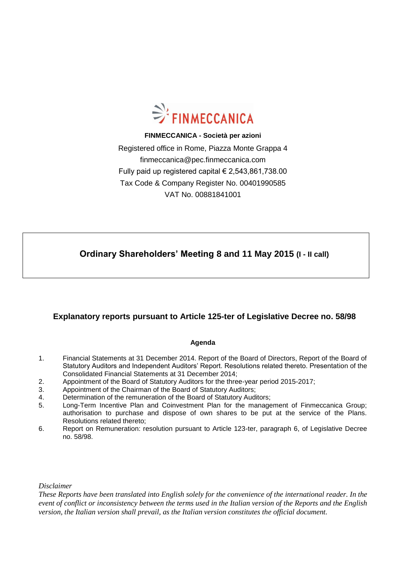

**FINMECCANICA - Società per azioni** Registered office in Rome, Piazza Monte Grappa 4 finmeccanica@pec.finmeccanica.com Fully paid up registered capital € 2,543,861,738.00 Tax Code & Company Register No. 00401990585 VAT No. 00881841001

 **Ordinary Shareholders' Meeting 8 and 11 May 2015 (I - II call)**

#### **Explanatory reports pursuant to Article 125-ter of Legislative Decree no. 58/98**

#### **Agenda**

- 1. Financial Statements at 31 December 2014. Report of the Board of Directors, Report of the Board of Statutory Auditors and Independent Auditors' Report. Resolutions related thereto. Presentation of the Consolidated Financial Statements at 31 December 2014;
- 2. Appointment of the Board of Statutory Auditors for the three-year period 2015-2017;
- 3. Appointment of the Chairman of the Board of Statutory Auditors;
- 4. Determination of the remuneration of the Board of Statutory Auditors;
- 5. Long-Term Incentive Plan and Coinvestment Plan for the management of Finmeccanica Group; authorisation to purchase and dispose of own shares to be put at the service of the Plans. Resolutions related thereto;
- 6. Report on Remuneration: resolution pursuant to Article 123-ter, paragraph 6, of Legislative Decree no. 58/98.

*Disclaimer*

*These Reports have been translated into English solely for the convenience of the international reader. In the event of conflict or inconsistency between the terms used in the Italian version of the Reports and the English version, the Italian version shall prevail, as the Italian version constitutes the official document.*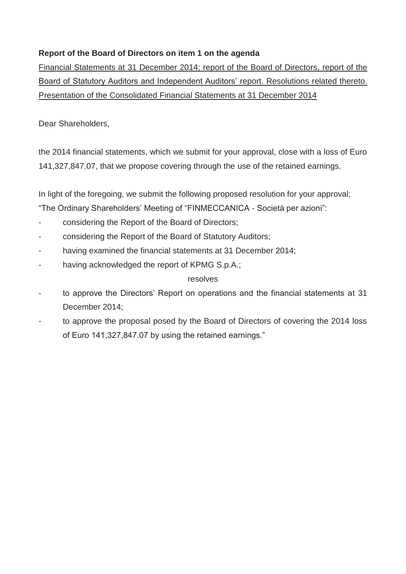# **Report of the Board of Directors on item 1 on the agenda**

Financial Statements at 31 December 2014; report of the Board of Directors, report of the Board of Statutory Auditors and Independent Auditors' report. Resolutions related thereto. Presentation of the Consolidated Financial Statements at 31 December 2014

Dear Shareholders,

the 2014 financial statements, which we submit for your approval, close with a loss of Euro 141,327,847.07, that we propose covering through the use of the retained earnings.

In light of the foregoing, we submit the following proposed resolution for your approval:

"The Ordinary Shareholders' Meeting of "FINMECCANICA - Società per azioni":

- considering the Report of the Board of Directors;
- considering the Report of the Board of Statutory Auditors;
- having examined the financial statements at 31 December 2014;
- having acknowledged the report of KPMG S.p.A.;

#### resolves

- to approve the Directors' Report on operations and the financial statements at 31 December 2014;
- to approve the proposal posed by the Board of Directors of covering the 2014 loss of Euro 141,327,847.07 by using the retained earnings."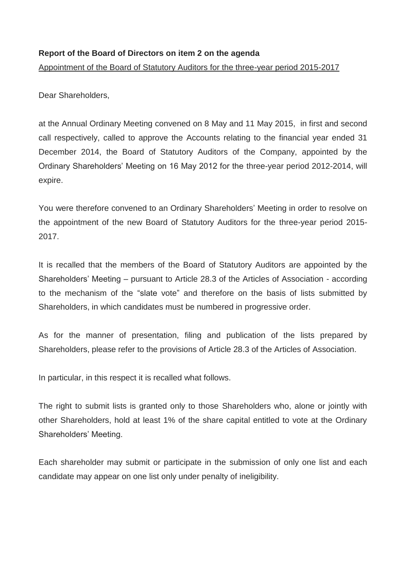#### **Report of the Board of Directors on item 2 on the agenda**

Appointment of the Board of Statutory Auditors for the three-year period 2015-2017

Dear Shareholders,

at the Annual Ordinary Meeting convened on 8 May and 11 May 2015, in first and second call respectively, called to approve the Accounts relating to the financial year ended 31 December 2014, the Board of Statutory Auditors of the Company, appointed by the Ordinary Shareholders' Meeting on 16 May 2012 for the three-year period 2012-2014, will expire.

You were therefore convened to an Ordinary Shareholders' Meeting in order to resolve on the appointment of the new Board of Statutory Auditors for the three-year period 2015- 2017.

It is recalled that the members of the Board of Statutory Auditors are appointed by the Shareholders' Meeting – pursuant to Article 28.3 of the Articles of Association - according to the mechanism of the "slate vote" and therefore on the basis of lists submitted by Shareholders, in which candidates must be numbered in progressive order.

As for the manner of presentation, filing and publication of the lists prepared by Shareholders, please refer to the provisions of Article 28.3 of the Articles of Association.

In particular, in this respect it is recalled what follows.

The right to submit lists is granted only to those Shareholders who, alone or jointly with other Shareholders, hold at least 1% of the share capital entitled to vote at the Ordinary Shareholders' Meeting.

Each shareholder may submit or participate in the submission of only one list and each candidate may appear on one list only under penalty of ineligibility.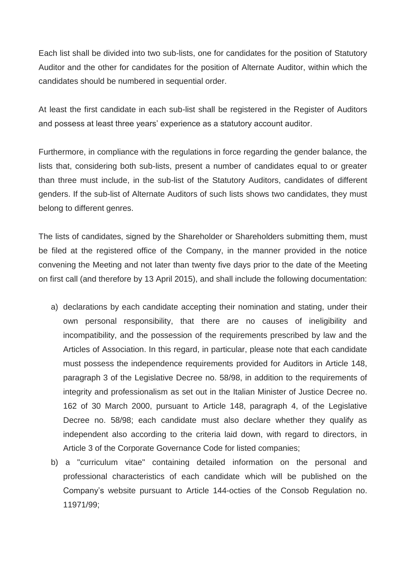Each list shall be divided into two sub-lists, one for candidates for the position of Statutory Auditor and the other for candidates for the position of Alternate Auditor, within which the candidates should be numbered in sequential order.

At least the first candidate in each sub-list shall be registered in the Register of Auditors and possess at least three years' experience as a statutory account auditor.

Furthermore, in compliance with the regulations in force regarding the gender balance, the lists that, considering both sub-lists, present a number of candidates equal to or greater than three must include, in the sub-list of the Statutory Auditors, candidates of different genders. If the sub-list of Alternate Auditors of such lists shows two candidates, they must belong to different genres.

The lists of candidates, signed by the Shareholder or Shareholders submitting them, must be filed at the registered office of the Company, in the manner provided in the notice convening the Meeting and not later than twenty five days prior to the date of the Meeting on first call (and therefore by 13 April 2015), and shall include the following documentation:

- a) declarations by each candidate accepting their nomination and stating, under their own personal responsibility, that there are no causes of ineligibility and incompatibility, and the possession of the requirements prescribed by law and the Articles of Association. In this regard, in particular, please note that each candidate must possess the independence requirements provided for Auditors in Article 148, paragraph 3 of the Legislative Decree no. 58/98, in addition to the requirements of integrity and professionalism as set out in the Italian Minister of Justice Decree no. 162 of 30 March 2000, pursuant to Article 148, paragraph 4, of the Legislative Decree no. 58/98; each candidate must also declare whether they qualify as independent also according to the criteria laid down, with regard to directors, in Article 3 of the Corporate Governance Code for listed companies;
- b) a "curriculum vitae" containing detailed information on the personal and professional characteristics of each candidate which will be published on the Company's website pursuant to Article 144-octies of the Consob Regulation no. 11971/99;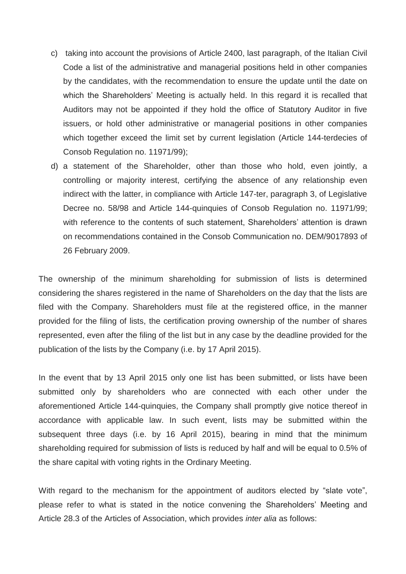- c) taking into account the provisions of Article 2400, last paragraph, of the Italian Civil Code a list of the administrative and managerial positions held in other companies by the candidates, with the recommendation to ensure the update until the date on which the Shareholders' Meeting is actually held. In this regard it is recalled that Auditors may not be appointed if they hold the office of Statutory Auditor in five issuers, or hold other administrative or managerial positions in other companies which together exceed the limit set by current legislation (Article 144-terdecies of Consob Regulation no. 11971/99);
- d) a statement of the Shareholder, other than those who hold, even jointly, a controlling or majority interest, certifying the absence of any relationship even indirect with the latter, in compliance with Article 147-ter, paragraph 3, of Legislative Decree no. 58/98 and Article 144-quinquies of Consob Regulation no. 11971/99; with reference to the contents of such statement, Shareholders' attention is drawn on recommendations contained in the Consob Communication no. DEM/9017893 of 26 February 2009.

The ownership of the minimum shareholding for submission of lists is determined considering the shares registered in the name of Shareholders on the day that the lists are filed with the Company. Shareholders must file at the registered office, in the manner provided for the filing of lists, the certification proving ownership of the number of shares represented, even after the filing of the list but in any case by the deadline provided for the publication of the lists by the Company (i.e. by 17 April 2015).

In the event that by 13 April 2015 only one list has been submitted, or lists have been submitted only by shareholders who are connected with each other under the aforementioned Article 144-quinquies, the Company shall promptly give notice thereof in accordance with applicable law. In such event, lists may be submitted within the subsequent three days (i.e. by 16 April 2015), bearing in mind that the minimum shareholding required for submission of lists is reduced by half and will be equal to 0.5% of the share capital with voting rights in the Ordinary Meeting.

With regard to the mechanism for the appointment of auditors elected by "slate vote", please refer to what is stated in the notice convening the Shareholders' Meeting and Article 28.3 of the Articles of Association, which provides *inter alia* as follows: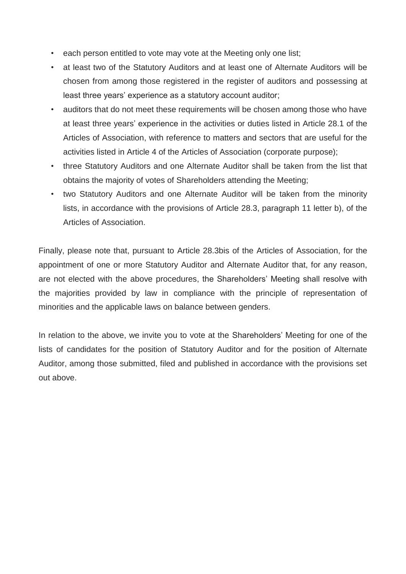- each person entitled to vote may vote at the Meeting only one list;
- at least two of the Statutory Auditors and at least one of Alternate Auditors will be chosen from among those registered in the register of auditors and possessing at least three years' experience as a statutory account auditor;
- auditors that do not meet these requirements will be chosen among those who have at least three years' experience in the activities or duties listed in Article 28.1 of the Articles of Association, with reference to matters and sectors that are useful for the activities listed in Article 4 of the Articles of Association (corporate purpose);
- three Statutory Auditors and one Alternate Auditor shall be taken from the list that obtains the majority of votes of Shareholders attending the Meeting;
- two Statutory Auditors and one Alternate Auditor will be taken from the minority lists, in accordance with the provisions of Article 28.3, paragraph 11 letter b), of the Articles of Association.

Finally, please note that, pursuant to Article 28.3bis of the Articles of Association, for the appointment of one or more Statutory Auditor and Alternate Auditor that, for any reason, are not elected with the above procedures, the Shareholders' Meeting shall resolve with the majorities provided by law in compliance with the principle of representation of minorities and the applicable laws on balance between genders.

In relation to the above, we invite you to vote at the Shareholders' Meeting for one of the lists of candidates for the position of Statutory Auditor and for the position of Alternate Auditor, among those submitted, filed and published in accordance with the provisions set out above.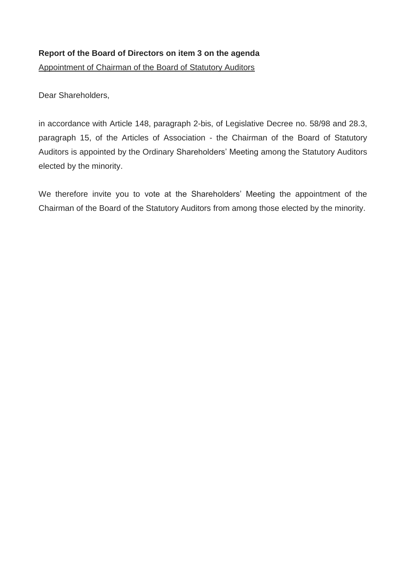# **Report of the Board of Directors on item 3 on the agenda**

Appointment of Chairman of the Board of Statutory Auditors

Dear Shareholders,

in accordance with Article 148, paragraph 2-bis, of Legislative Decree no. 58/98 and 28.3, paragraph 15, of the Articles of Association - the Chairman of the Board of Statutory Auditors is appointed by the Ordinary Shareholders' Meeting among the Statutory Auditors elected by the minority.

We therefore invite you to vote at the Shareholders' Meeting the appointment of the Chairman of the Board of the Statutory Auditors from among those elected by the minority.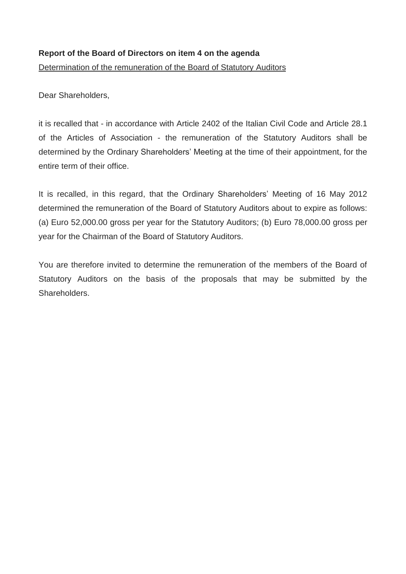### **Report of the Board of Directors on item 4 on the agenda**

Determination of the remuneration of the Board of Statutory Auditors

Dear Shareholders,

it is recalled that - in accordance with Article 2402 of the Italian Civil Code and Article 28.1 of the Articles of Association - the remuneration of the Statutory Auditors shall be determined by the Ordinary Shareholders' Meeting at the time of their appointment, for the entire term of their office.

It is recalled, in this regard, that the Ordinary Shareholders' Meeting of 16 May 2012 determined the remuneration of the Board of Statutory Auditors about to expire as follows: (a) Euro 52,000.00 gross per year for the Statutory Auditors; (b) Euro 78,000.00 gross per year for the Chairman of the Board of Statutory Auditors.

You are therefore invited to determine the remuneration of the members of the Board of Statutory Auditors on the basis of the proposals that may be submitted by the Shareholders.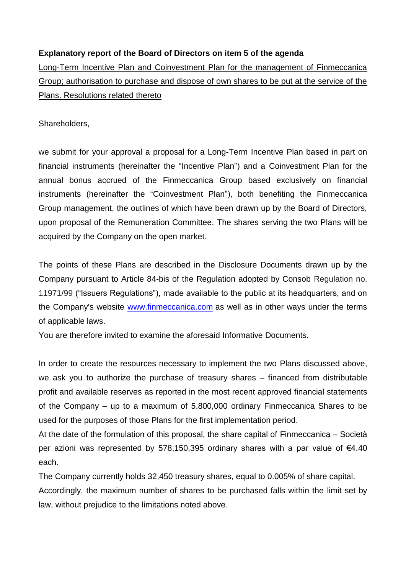# **Explanatory report of the Board of Directors on item 5 of the agenda**

Long-Term Incentive Plan and Coinvestment Plan for the management of Finmeccanica Group; authorisation to purchase and dispose of own shares to be put at the service of the Plans. Resolutions related thereto

Shareholders,

we submit for your approval a proposal for a Long-Term Incentive Plan based in part on financial instruments (hereinafter the "Incentive Plan") and a Coinvestment Plan for the annual bonus accrued of the Finmeccanica Group based exclusively on financial instruments (hereinafter the "Coinvestment Plan"), both benefiting the Finmeccanica Group management, the outlines of which have been drawn up by the Board of Directors, upon proposal of the Remuneration Committee. The shares serving the two Plans will be acquired by the Company on the open market.

The points of these Plans are described in the Disclosure Documents drawn up by the Company pursuant to Article 84-bis of the Regulation adopted by Consob Regulation no. 11971/99 ("Issuers Regulations"), made available to the public at its headquarters, and on the Company's website [www.finmeccanica.com](http://www.finmeccanica.com/) as well as in other ways under the terms of applicable laws.

You are therefore invited to examine the aforesaid Informative Documents.

In order to create the resources necessary to implement the two Plans discussed above, we ask you to authorize the purchase of treasury shares – financed from distributable profit and available reserves as reported in the most recent approved financial statements of the Company – up to a maximum of 5,800,000 ordinary Finmeccanica Shares to be used for the purposes of those Plans for the first implementation period.

At the date of the formulation of this proposal, the share capital of Finmeccanica – Società per azioni was represented by 578,150,395 ordinary shares with a par value of €4.40 each.

The Company currently holds 32,450 treasury shares, equal to 0.005% of share capital. Accordingly, the maximum number of shares to be purchased falls within the limit set by law, without prejudice to the limitations noted above.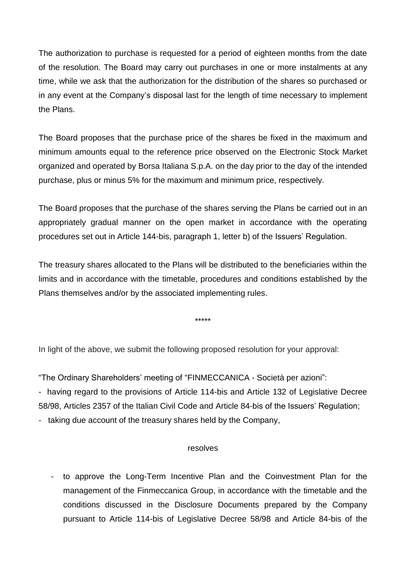The authorization to purchase is requested for a period of eighteen months from the date of the resolution. The Board may carry out purchases in one or more instalments at any time, while we ask that the authorization for the distribution of the shares so purchased or in any event at the Company's disposal last for the length of time necessary to implement the Plans.

The Board proposes that the purchase price of the shares be fixed in the maximum and minimum amounts equal to the reference price observed on the Electronic Stock Market organized and operated by Borsa Italiana S.p.A. on the day prior to the day of the intended purchase, plus or minus 5% for the maximum and minimum price, respectively.

The Board proposes that the purchase of the shares serving the Plans be carried out in an appropriately gradual manner on the open market in accordance with the operating procedures set out in Article 144-bis, paragraph 1, letter b) of the Issuers' Regulation.

The treasury shares allocated to the Plans will be distributed to the beneficiaries within the limits and in accordance with the timetable, procedures and conditions established by the Plans themselves and/or by the associated implementing rules.

\*\*\*\*\*

In light of the above, we submit the following proposed resolution for your approval:

"The Ordinary Shareholders' meeting of "FINMECCANICA - Società per azioni":

- having regard to the provisions of Article 114-bis and Article 132 of Legislative Decree 58/98, Articles 2357 of the Italian Civil Code and Article 84-bis of the Issuers' Regulation;

- taking due account of the treasury shares held by the Company,

#### resolves

- to approve the Long-Term Incentive Plan and the Coinvestment Plan for the management of the Finmeccanica Group, in accordance with the timetable and the conditions discussed in the Disclosure Documents prepared by the Company pursuant to Article 114-bis of Legislative Decree 58/98 and Article 84-bis of the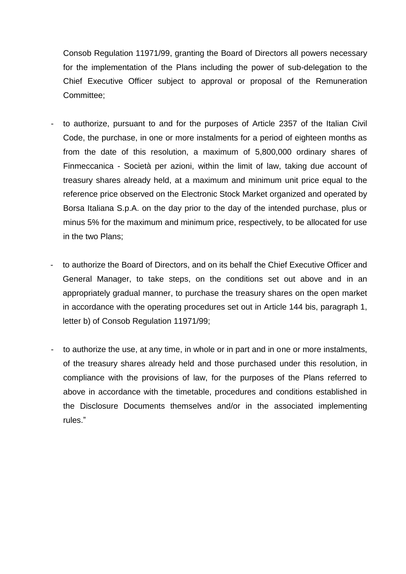Consob Regulation 11971/99, granting the Board of Directors all powers necessary for the implementation of the Plans including the power of sub-delegation to the Chief Executive Officer subject to approval or proposal of the Remuneration Committee;

- to authorize, pursuant to and for the purposes of Article 2357 of the Italian Civil Code, the purchase, in one or more instalments for a period of eighteen months as from the date of this resolution, a maximum of 5,800,000 ordinary shares of Finmeccanica - Società per azioni, within the limit of law, taking due account of treasury shares already held, at a maximum and minimum unit price equal to the reference price observed on the Electronic Stock Market organized and operated by Borsa Italiana S.p.A. on the day prior to the day of the intended purchase, plus or minus 5% for the maximum and minimum price, respectively, to be allocated for use in the two Plans;
- to authorize the Board of Directors, and on its behalf the Chief Executive Officer and General Manager, to take steps, on the conditions set out above and in an appropriately gradual manner, to purchase the treasury shares on the open market in accordance with the operating procedures set out in Article 144 bis, paragraph 1, letter b) of Consob Regulation 11971/99;
- to authorize the use, at any time, in whole or in part and in one or more instalments, of the treasury shares already held and those purchased under this resolution, in compliance with the provisions of law, for the purposes of the Plans referred to above in accordance with the timetable, procedures and conditions established in the Disclosure Documents themselves and/or in the associated implementing rules."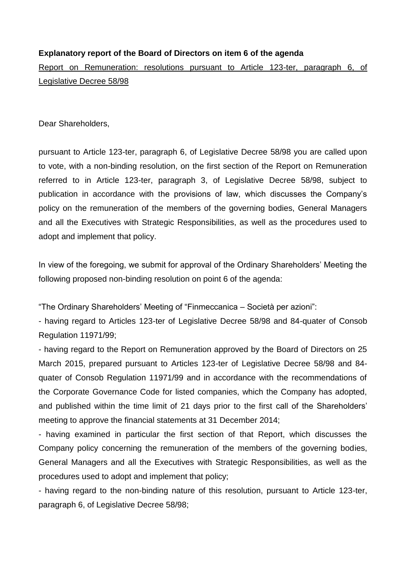### **Explanatory report of the Board of Directors on item 6 of the agenda**

Report on Remuneration: resolutions pursuant to Article 123-ter, paragraph 6, of Legislative Decree 58/98

Dear Shareholders,

pursuant to Article 123-ter, paragraph 6, of Legislative Decree 58/98 you are called upon to vote, with a non-binding resolution, on the first section of the Report on Remuneration referred to in Article 123-ter, paragraph 3, of Legislative Decree 58/98, subject to publication in accordance with the provisions of law, which discusses the Company's policy on the remuneration of the members of the governing bodies, General Managers and all the Executives with Strategic Responsibilities, as well as the procedures used to adopt and implement that policy.

In view of the foregoing, we submit for approval of the Ordinary Shareholders' Meeting the following proposed non-binding resolution on point 6 of the agenda:

"The Ordinary Shareholders' Meeting of "Finmeccanica – Società per azioni":

- having regard to Articles 123-ter of Legislative Decree 58/98 and 84-quater of Consob Regulation 11971/99;

- having regard to the Report on Remuneration approved by the Board of Directors on 25 March 2015, prepared pursuant to Articles 123-ter of Legislative Decree 58/98 and 84 quater of Consob Regulation 11971/99 and in accordance with the recommendations of the Corporate Governance Code for listed companies, which the Company has adopted, and published within the time limit of 21 days prior to the first call of the Shareholders' meeting to approve the financial statements at 31 December 2014;

- having examined in particular the first section of that Report, which discusses the Company policy concerning the remuneration of the members of the governing bodies, General Managers and all the Executives with Strategic Responsibilities, as well as the procedures used to adopt and implement that policy;

- having regard to the non-binding nature of this resolution, pursuant to Article 123-ter, paragraph 6, of Legislative Decree 58/98;